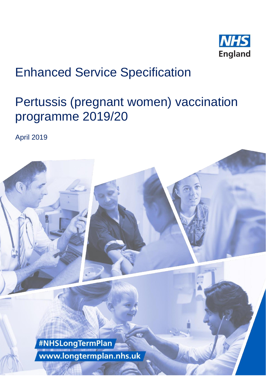

# Enhanced Service Specification

# Pertussis (pregnant women) vaccination programme 2019/20

April 2019

#NHSLongTermPlan www.longtermplan.nhs.uk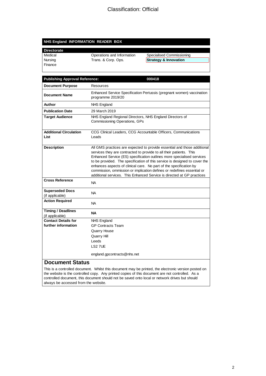#### **NHS England INFORMATION READER BOX**

| <b>Directorate</b> |
|--------------------|
| ▎<br>Medical       |
| <b>Nurojna</b>     |

Finance

Medical **Conference Conference Conference Conference Conference Conference Conference Conference Conference Conference Conference Conference Conference Conference Conference Conference Conference Conference Conference Conf** 

**Strategy & Innovation** 

| <b>Publishing Approval Reference:</b>        | 000418                                                                                                                                                                                                                                                                                                                                                                                                                                                                                                                            |  |
|----------------------------------------------|-----------------------------------------------------------------------------------------------------------------------------------------------------------------------------------------------------------------------------------------------------------------------------------------------------------------------------------------------------------------------------------------------------------------------------------------------------------------------------------------------------------------------------------|--|
| <b>Document Purpose</b>                      | Resources                                                                                                                                                                                                                                                                                                                                                                                                                                                                                                                         |  |
| <b>Document Name</b>                         | Enhanced Service Specification Pertussis (pregnant women) vaccination<br>programme 2019/20                                                                                                                                                                                                                                                                                                                                                                                                                                        |  |
| Author                                       | <b>NHS England</b>                                                                                                                                                                                                                                                                                                                                                                                                                                                                                                                |  |
| <b>Publication Date</b>                      | 29 March 2019                                                                                                                                                                                                                                                                                                                                                                                                                                                                                                                     |  |
| <b>Target Audience</b>                       | NHS England Regional Directors, NHS England Directors of<br>Commissioning Operations, GPs                                                                                                                                                                                                                                                                                                                                                                                                                                         |  |
| <b>Additional Circulation</b><br>List        | CCG Clinical Leaders, CCG Accountable Officers, Communications<br>Leads                                                                                                                                                                                                                                                                                                                                                                                                                                                           |  |
| <b>Description</b>                           | All GMS practices are expected to provide essential and those additional<br>services they are contracted to provide to all their patients. This<br>Enhanced Service (ES) specification outlines more specialised services<br>to be provided. The specification of this service is designed to cover the<br>enhances aspects of clinical care. No part of the specification by<br>commission, ommission or implication defines or redefines essential or<br>additional services. This Enhanced Service is directed at GP practices |  |
| <b>Cross Reference</b>                       | <b>NA</b>                                                                                                                                                                                                                                                                                                                                                                                                                                                                                                                         |  |
| <b>Superseded Docs</b><br>(if applicable)    | <b>NA</b>                                                                                                                                                                                                                                                                                                                                                                                                                                                                                                                         |  |
| <b>Action Required</b>                       | <b>NA</b>                                                                                                                                                                                                                                                                                                                                                                                                                                                                                                                         |  |
| <b>Timing / Deadlines</b><br>(if applicable) | <b>NA</b>                                                                                                                                                                                                                                                                                                                                                                                                                                                                                                                         |  |
| <b>Contact Details for</b>                   | <b>NHS England</b>                                                                                                                                                                                                                                                                                                                                                                                                                                                                                                                |  |
| further information                          | <b>GP Contracts Team</b><br><b>Quarry House</b>                                                                                                                                                                                                                                                                                                                                                                                                                                                                                   |  |
|                                              | Quarry Hill                                                                                                                                                                                                                                                                                                                                                                                                                                                                                                                       |  |
|                                              | Leeds                                                                                                                                                                                                                                                                                                                                                                                                                                                                                                                             |  |
|                                              | LS2 7UE                                                                                                                                                                                                                                                                                                                                                                                                                                                                                                                           |  |
|                                              | england.gpcontracts@nhs.net                                                                                                                                                                                                                                                                                                                                                                                                                                                                                                       |  |
| <b>Document Status</b>                       |                                                                                                                                                                                                                                                                                                                                                                                                                                                                                                                                   |  |
|                                              | This is a controlled document. Whilst this document may be printed, the electronic version posted on                                                                                                                                                                                                                                                                                                                                                                                                                              |  |

the website is the controlled copy. Any printed copies of this document are not controlled. As a controlled document, this document should not be saved onto local or network drives but should always be accessed from the website.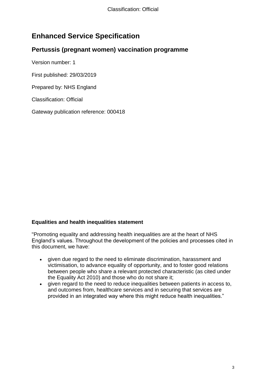# **Enhanced Service Specification**

#### **Pertussis (pregnant women) vaccination programme**

Version number: 1

First published: 29/03/2019

Prepared by: NHS England

Classification: Official

Gateway publication reference: 000418

#### **Equalities and health inequalities statement**

"Promoting equality and addressing health inequalities are at the heart of NHS England's values. Throughout the development of the policies and processes cited in this document, we have:

- given due regard to the need to eliminate discrimination, harassment and victimisation, to advance equality of opportunity, and to foster good relations between people who share a relevant protected characteristic (as cited under the Equality Act 2010) and those who do not share it;
- given regard to the need to reduce inequalities between patients in access to, and outcomes from, healthcare services and in securing that services are provided in an integrated way where this might reduce health inequalities."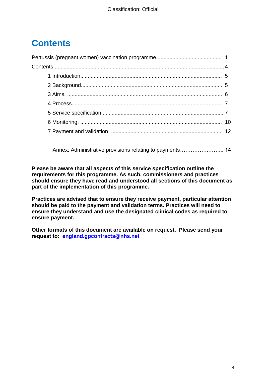# **Contents**

[Annex: Administrative provisions relating to payments…](#page-13-0)………….……... 14

**Please be aware that all aspects of this service specification outline the requirements for this programme. As such, commissioners and practices should ensure they have read and understood all sections of this document as part of the implementation of this programme.** 

**Practices are advised that to ensure they receive payment, particular attention should be paid to the payment and validation terms. Practices will need to ensure they understand and use the designated clinical codes as required to ensure payment.** 

<span id="page-3-0"></span>**Other formats of this document are available on request. Please send your request to: [england.gpcontracts@nhs.net](mailto:england.gpcontracts@nhs.net)**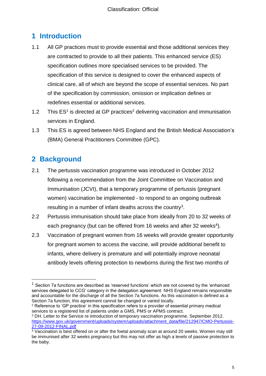# **1 Introduction**

- 1.1 All GP practices must to provide essential and those additional services they are contracted to provide to all their patients. This enhanced service (ES) specification outlines more specialised services to be provided. The specification of this service is designed to cover the enhanced aspects of clinical care, all of which are beyond the scope of essential services. No part of the specification by commission, omission or implication defines or redefines essential or additional services.
- 1.2 This ES<sup>1</sup> is directed at GP practices<sup>2</sup> delivering vaccination and immunisation services in England.
- 1.3 This ES is agreed between NHS England and the British Medical Association's (BMA) General Practitioners Committee (GPC).

# <span id="page-4-0"></span>**2 Background**

l

- 2.1 The pertussis vaccination programme was introduced in October 2012 following a recommendation from the Joint Committee on Vaccination and Immunisation (JCVI), that a temporary programme of pertussis (pregnant women) vaccination be implemented - to respond to an ongoing outbreak resulting in a number of infant deaths across the country<sup>3</sup>.
- 2.2 Pertussis immunisation should take place from ideally from 20 to 32 weeks of each pregnancy (but can be offered from 16 weeks and after 32 weeks<sup>4</sup>).
- 2.3 Vaccination of pregnant women from 16 weeks will provide greater opportunity for pregnant women to access the vaccine, will provide additional benefit to infants, where delivery is premature and will potentially improve neonatal antibody levels offering protection to newborns during the first two months of

<sup>2</sup> Reference to 'GP practice' in this specification refers to a provider of essential primary medical services to a registered list of patients under a GMS, PMS or APMS contract.

<sup>3</sup> DH. Letter to the Service re introduction of temporary vaccination programme. September 2012. [https://www.gov.uk/government/uploads/system/uploads/attachment\\_data/file/212947/CMO-Pertussis-](https://www.gov.uk/government/uploads/system/uploads/attachment_data/file/212947/CMO-Pertussis-27-09-2012-FINAL.pdf)[27-09-2012-FINAL.pdf](https://www.gov.uk/government/uploads/system/uploads/attachment_data/file/212947/CMO-Pertussis-27-09-2012-FINAL.pdf)

 $<sup>1</sup>$  Section 7a functions are described as 'reserved functions' which are not covered by the 'enhanced</sup> services delegated to CCG' category in the delegation agreement. NHS England remains responsible and accountable for the discharge of all the Section 7a functions. As this vaccination is defined as a Section 7a function, this agreement cannot be changed or varied locally.

<sup>&</sup>lt;sup>4</sup> Vaccination is best offered on or after the foetal anomaly scan at around 20 weeks. Women may still be immunised after 32 weeks pregnancy but this may not offer as high a levels of passive protection to the baby.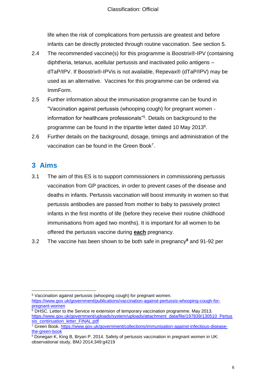life when the risk of complications from pertussis are greatest and before infants can be directly protected through routine vaccination. See section 5.

- 2.4 The recommended vaccine(s) for this programme is Boostrix®-IPV (containing diphtheria, tetanus, acellular pertussis and inactivated polio antigens – dTaP/IPV. If Boostrix®-IPVis is not available, Repevax® (dTaP/IPV) may be used as an alternative. Vaccines for this programme can be ordered via ImmForm.
- 2.5 Further information about the immunisation programme can be found in "Vaccination against pertussis (whooping cough) for pregnant women information for healthcare professionals"<sup>5</sup> . Details on background to the programme can be found in the tripartite letter dated 10 May 2013<sup>6</sup>.
- 2.6 Further details on the background, dosage, timings and administration of the vaccination can be found in the Green Book<sup>7</sup>.

# <span id="page-5-0"></span>**3 Aims**

- 3.1 The aim of this ES is to support commissioners in commissioning pertussis vaccination from GP practices, in order to prevent cases of the disease and deaths in infants. Pertussis vaccination will boost immunity in women so that pertussis antibodies are passed from mother to baby to passively protect infants in the first months of life (before they receive their routine childhood immunisations from aged two months). It is important for all women to be offered the pertussis vaccine during **each** pregnancy.
- 3.2 The vaccine has been shown to be both safe in pregnancy**<sup>8</sup>** and 91-92 per

 $\overline{a}$ <sup>5</sup> Vaccination against pertussis (whooping cough) for pregnant women. [https://www.gov.uk/government/publications/vaccination-against-pertussis-whooping-cough-for](https://www.gov.uk/government/publications/vaccination-against-pertussis-whooping-cough-for-pregnant-women)[pregnant-women](https://www.gov.uk/government/publications/vaccination-against-pertussis-whooping-cough-for-pregnant-women)

<sup>&</sup>lt;sup>6</sup> DHSC. Letter to the Service re extension of temporary vaccination programme. May 2013. [https://www.gov.uk/government/uploads/system/uploads/attachment\\_data/file/197839/130510\\_Pertus](https://www.gov.uk/government/uploads/system/uploads/attachment_data/file/197839/130510_Pertussis_continuation_letter_FINAL.pdf) [sis\\_continuation\\_letter\\_FINAL.pdf](https://www.gov.uk/government/uploads/system/uploads/attachment_data/file/197839/130510_Pertussis_continuation_letter_FINAL.pdf)

<sup>7</sup> Green Book. [https://www.gov.uk/government/collections/immunisation-against-infectious-disease](https://www.gov.uk/government/collections/immunisation-against-infectious-disease-the-green-book)[the-green-book](https://www.gov.uk/government/collections/immunisation-against-infectious-disease-the-green-book)

<sup>8</sup> Donegan K, King B, Bryan P. 2014. Safety of pertussis vaccination in pregnant women in UK: observational study, BMJ 2014;349:g4219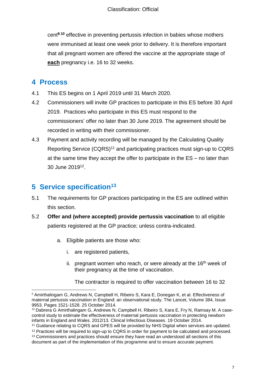cent**<sup>9</sup>**,**<sup>10</sup>** effective in preventing pertussis infection in babies whose mothers were immunised at least one week prior to delivery. It is therefore important that all pregnant women are offered the vaccine at the appropriate stage of **each** pregnancy i.e. 16 to 32 weeks.

## <span id="page-6-0"></span>**4 Process**

- 4.1 This ES begins on 1 April 2019 until 31 March 2020.
- 4.2 Commissioners will invite GP practices to participate in this ES before 30 April 2019. Practices who participate in this ES must respond to the commissioners' offer no later than 30 June 2019. The agreement should be recorded in writing with their commissioner.
- 4.3 Payment and activity recording will be managed by the Calculating Quality Reporting Service (CQRS)<sup>11</sup> and participating practices must sign-up to CQRS at the same time they accept the offer to participate in the ES – no later than 30 June 2019<sup>12</sup>.

# <span id="page-6-1"></span>**5 Service specification<sup>13</sup>**

- 5.1 The requirements for GP practices participating in the ES are outlined within this section.
- 5.2 **Offer and (where accepted) provide pertussis vaccination** to all eligible patients registered at the GP practice; unless contra-indicated.
	- a. Eligible patients are those who:
		- i. are registered patients,
		- ii. pregnant women who reach, or were already at the  $16<sup>th</sup>$  week of their pregnancy at the time of vaccination.

The contractor is required to offer vaccination between 16 to 32

 $\overline{a}$ <sup>9</sup> Amirthalingam G, Andrews N, Campbell H, Ribeiro S, Kara E, Donegan K, et al. Effectiveness of maternal pertussis vaccination in England: an observational study. The Lancet, Volume 384, Issue 9953. Pages 1521-1528. 25 October 2014.

<sup>&</sup>lt;sup>10</sup> Dabrera G Amirthalingam G, Andrews N, Campbell H, Ribeiro S, Kara E, Fry N, Ramsay M. A casecontrol study to estimate the effectiveness of maternal pertussis vaccination in protecting newborn infants in England and Wales. 2012/13. Clinical Infectious Diseases. 19 October 2014.

<sup>11</sup> Guidance relating to CQRS and GPES will be provided by NHS Digital when services are updated.

<sup>&</sup>lt;sup>12</sup> Practices will be required to sign-up to CQRS in order for payment to be calculated and processed.

<sup>&</sup>lt;sup>13</sup> Commissioners and practices should ensure they have read an understood all sections of this document as part of the implementation of this programme and to ensure accurate payment.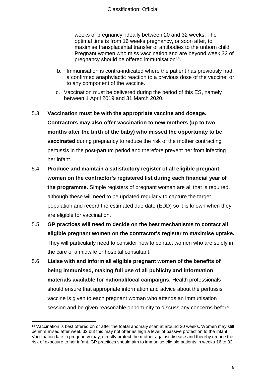weeks of pregnancy, ideally between 20 and 32 weeks. The optimal time is from 16 weeks pregnancy, or soon after, to maximise transplacental transfer of antibodies to the unborn child. Pregnant women who miss vaccination and are beyond week 32 of pregnancy should be offered immunisation<sup>14</sup>.

- b. Immunisation is contra-indicated where the patient has previously had a confirmed anaphylactic reaction to a previous dose of the vaccine, or to any component of the vaccine.
- c. Vaccination must be delivered during the period of this ES, namely between 1 April 2019 and 31 March 2020.
- 5.3 **Vaccination must be with the appropriate vaccine and dosage. Contractors may also offer vaccination to new mothers (up to two months after the birth of the baby) who missed the opportunity to be vaccinated** during pregnancy to reduce the risk of the mother contracting pertussis in the post-partum period and therefore prevent her from infecting her infant.
- 5.4 **Produce and maintain a satisfactory register of all eligible pregnant women on the contractor's registered list during each financial year of the programme.** Simple registers of pregnant women are all that is required, although these will need to be updated regularly to capture the target population and record the estimated due date (EDD) so it is known when they are eligible for vaccination.
- 5.5 **GP practices will need to decide on the best mechanisms to contact all eligible pregnant women on the contractor's register to maximise uptake.**  They will particularly need to consider how to contact women who are solely in the care of a midwife or hospital consultant.
- 5.6 **Liaise with and inform all eligible pregnant women of the benefits of being immunised, making full use of all publicity and information materials available for national/local campaigns.** Health professionals should ensure that appropriate information and advice about the pertussis vaccine is given to each pregnant woman who attends an immunisation session and be given reasonable opportunity to discuss any concerns before

 $\overline{a}$ 

<sup>14</sup> Vaccination is best offered on or after the foetal anomaly scan at around 20 weeks. Women may still be immunised after week 32 but this may not offer as high a level of passive protection to the infant. Vaccination late in pregnancy may, directly protect the mother against disease and thereby reduce the risk of exposure to her infant. GP practices should aim to immunise eligible patients in weeks 16 to 32.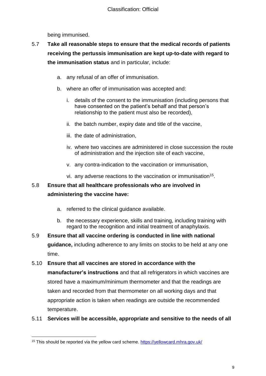being immunised.

# 5.7 **Take all reasonable steps to ensure that the medical records of patients receiving the pertussis immunisation are kept up-to-date with regard to the immunisation status** and in particular, include:

- a. any refusal of an offer of immunisation.
- b. where an offer of immunisation was accepted and:
	- i. details of the consent to the immunisation (including persons that have consented on the patient's behalf and that person's relationship to the patient must also be recorded),
	- ii. the batch number, expiry date and title of the vaccine,
	- iii. the date of administration,
	- iv. where two vaccines are administered in close succession the route of administration and the injection site of each vaccine,
	- v. any contra-indication to the vaccination or immunisation,
	- vi. any adverse reactions to the vaccination or immunisation<sup>15</sup>.

### 5.8 **Ensure that all healthcare professionals who are involved in administering the vaccine have:**

- a. referred to the clinical guidance available.
- b. the necessary experience, skills and training, including training with regard to the recognition and initial treatment of anaphylaxis.

# 5.9 **Ensure that all vaccine ordering is conducted in line with national guidance,** including adherence to any limits on stocks to be held at any one time.

#### 5.10 **Ensure that all vaccines are stored in accordance with the**

**manufacturer's instructions** and that all refrigerators in which vaccines are stored have a maximum/minimum thermometer and that the readings are taken and recorded from that thermometer on all working days and that appropriate action is taken when readings are outside the recommended temperature.

#### 5.11 **Services will be accessible, appropriate and sensitive to the needs of all**

<sup>15</sup> This should be reported via the yellow card scheme.<https://yellowcard.mhra.gov.uk/>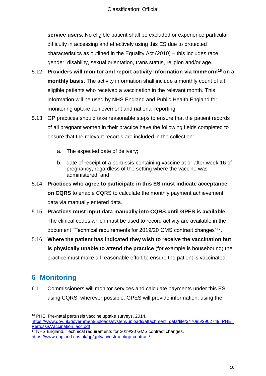**service users.** No eligible patient shall be excluded or experience particular difficulty in accessing and effectively using this ES due to protected characteristics as outlined in the Equality Act (2010) – this includes race, gender, disability, sexual orientation, trans status, religion and/or age.

- 5.12 **Providers will monitor and report activity information via ImmForm<sup>16</sup> on a monthly basis.** The activity information shall include a monthly count of all eligible patients who received a vaccination in the relevant month. This information will be used by NHS England and Public Health England for monitoring uptake achievement and national reporting.
- 5.13 GP practices should take reasonable steps to ensure that the patient records of all pregnant women in their practice have the following fields completed to ensure that the relevant records are included in the collection:
	- a. The expected date of delivery;
	- b. date of receipt of a pertussis-containing vaccine at or after week 16 of pregnancy, regardless of the setting where the vaccine was administered; and
- 5.14 **Practices who agree to participate in this ES must indicate acceptance on CQRS** to enable CQRS to calculate the monthly payment achievement data via manually entered data.
- 5.15 **Practices must input data manually into CQRS until GPES is available.**  The clinical codes which must be used to record activity are available in the document "Technical requirements for 2019/20 GMS contract changes"<sup>17</sup> .
- 5.16 **Where the patient has indicated they wish to receive the vaccination but is physically unable to attend the practice** (for example is housebound) the practice must make all reasonable effort to ensure the patient is vaccinated.

# <span id="page-9-0"></span>**6 Monitoring**

l

6.1 Commissioners will monitor services and calculate payments under this ES using CQRS, wherever possible. GPES will provide information, using the

<sup>16</sup> PHE. Pre-natal pertussis vaccine uptake surveys. 2014.

[https://www.gov.uk/government/uploads/system/uploads/attachment\\_data/file/347085/2902749\\_PHE\\_](https://www.gov.uk/government/uploads/system/uploads/attachment_data/file/347085/2902749_PHE_PertussisVaccination_acc.pdf) [PertussisVaccination\\_acc.pdf](https://www.gov.uk/government/uploads/system/uploads/attachment_data/file/347085/2902749_PHE_PertussisVaccination_acc.pdf)

<sup>&</sup>lt;sup>17</sup> NHS England. Technical requirements for 2019/20 GMS contract changes. <https://www.england.nhs.uk/gp/gpfv/investment/gp-contract/>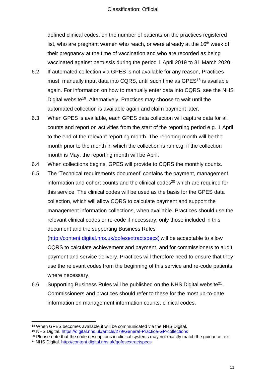#### Classification: Official

defined clinical codes, on the number of patients on the practices registered list, who are pregnant women who reach, or were already at the  $16<sup>th</sup>$  week of their pregnancy at the time of vaccination and who are recorded as being vaccinated against pertussis during the period 1 April 2019 to 31 March 2020.

- 6.2 If automated collection via GPES is not available for any reason, Practices must manually input data into CQRS, until such time as GPES<sup>18</sup> is available again. For information on how to manually enter data into CQRS, see the NHS Digital website<sup>19</sup>. Alternatively, Practices may choose to wait until the automated collection is available again and claim payment later.
- 6.3 When GPES is available, each GPES data collection will capture data for all counts and report on activities from the start of the reporting period e.g. 1 April to the end of the relevant reporting month. The reporting month will be the month prior to the month in which the collection is run e.g. if the collection month is May, the reporting month will be April.
- 6.4 When collections begins, GPES will provide to CQRS the monthly counts.
- 6.5 The 'Technical requirements document' contains the payment, management information and cohort counts and the clinical codes $20$  which are required for this service. The clinical codes will be used as the basis for the GPES data collection, which will allow CQRS to calculate payment and support the management information collections, when available. Practices should use the relevant clinical codes or re-code if necessary, only those included in this document and the supporting Business Rules

[\(http://content.digital.nhs.uk/qofesextractspecs\)](http://content.digital.nhs.uk/qofesextractspecs) will be acceptable to allow CQRS to calculate achievement and payment, and for commissioners to audit payment and service delivery. Practices will therefore need to ensure that they use the relevant codes from the beginning of this service and re-code patients where necessary.

6.6 Supporting Business Rules will be published on the NHS Digital website<sup>21</sup>. Commissioners and practices should refer to these for the most up-to-date information on management information counts, clinical codes.

l

<sup>18</sup> When GPES becomes available it will be communicated via the NHS Digital.

<sup>19</sup> NHS Digital.<https://digital.nhs.uk/article/279/General-Practice-GP-collections>

<sup>&</sup>lt;sup>20</sup> Please note that the code descriptions in clinical systems may not exactly match the guidance text.

<sup>21</sup> NHS Digital.<http://content.digital.nhs.uk/qofesextractspecs>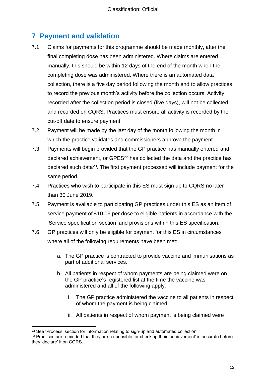# <span id="page-11-0"></span>**7 Payment and validation**

- 7.1 Claims for payments for this programme should be made monthly, after the final completing dose has been administered. Where claims are entered manually, this should be within 12 days of the end of the month when the completing dose was administered. Where there is an automated data collection, there is a five day period following the month end to allow practices to record the previous month's activity before the collection occurs. Activity recorded after the collection period is closed (five days), will not be collected and recorded on CQRS. Practices must ensure all activity is recorded by the cut-off date to ensure payment.
- 7.2 Payment will be made by the last day of the month following the month in which the practice validates and commissioners approve the payment.
- 7.3 Payments will begin provided that the GP practice has manually entered and declared achievement, or GPES<sup>22</sup> has collected the data and the practice has declared such data<sup>23</sup>. The first payment processed will include payment for the same period.
- 7.4 Practices who wish to participate in this ES must sign up to CQRS no later than 30 June 2019.
- 7.5 Payment is available to participating GP practices under this ES as an item of service payment of £10.06 per dose to eligible patients in accordance with the 'Service specification section' and provisions within this ES specification.
- 7.6 GP practices will only be eligible for payment for this ES in circumstances where all of the following requirements have been met:
	- a. The GP practice is contracted to provide vaccine and immunisations as part of additional services.
	- b. All patients in respect of whom payments are being claimed were on the GP practice's registered list at the time the vaccine was administered and all of the following apply:
		- i. The GP practice administered the vaccine to all patients in respect of whom the payment is being claimed.
		- ii. All patients in respect of whom payment is being claimed were

l <sup>22</sup> See 'Process' section for information relating to sign-up and automated collection.

<sup>&</sup>lt;sup>23</sup> Practices are reminded that they are responsible for checking their 'achievement' is accurate before they 'declare' it on CQRS.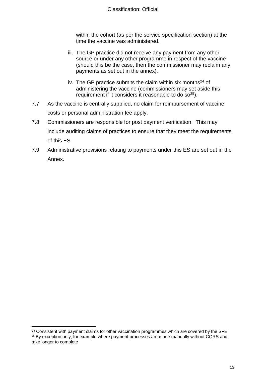within the cohort (as per the service specification section) at the time the vaccine was administered.

- iii. The GP practice did not receive any payment from any other source or under any other programme in respect of the vaccine (should this be the case, then the commissioner may reclaim any payments as set out in the annex).
- iv. The GP practice submits the claim within six months<sup>24</sup> of administering the vaccine (commissioners may set aside this requirement if it considers it reasonable to do  $\sigma^{25}$ ).
- 7.7 As the vaccine is centrally supplied, no claim for reimbursement of vaccine costs or personal administration fee apply.
- 7.8 Commissioners are responsible for post payment verification. This may include auditing claims of practices to ensure that they meet the requirements of this ES.
- 7.9 Administrative provisions relating to payments under this ES are set out in the Annex.

l

<sup>&</sup>lt;sup>24</sup> Consistent with payment claims for other vaccination programmes which are covered by the SFE  $25$  By exception only, for example where payment processes are made manually without CQRS and take longer to complete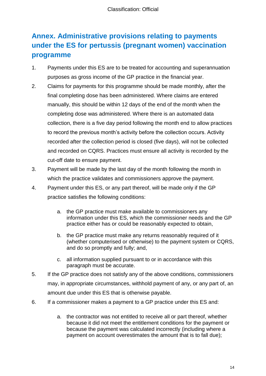# <span id="page-13-0"></span>**Annex. Administrative provisions relating to payments under the ES for pertussis (pregnant women) vaccination programme**

- 1. Payments under this ES are to be treated for accounting and superannuation purposes as gross income of the GP practice in the financial year.
- 2. Claims for payments for this programme should be made monthly, after the final completing dose has been administered. Where claims are entered manually, this should be within 12 days of the end of the month when the completing dose was administered. Where there is an automated data collection, there is a five day period following the month end to allow practices to record the previous month's activity before the collection occurs. Activity recorded after the collection period is closed (five days), will not be collected and recorded on CQRS. Practices must ensure all activity is recorded by the cut-off date to ensure payment.
- 3. Payment will be made by the last day of the month following the month in which the practice validates and commissioners approve the payment.
- 4. Payment under this ES, or any part thereof, will be made only if the GP practice satisfies the following conditions:
	- a. the GP practice must make available to commissioners any information under this ES, which the commissioner needs and the GP practice either has or could be reasonably expected to obtain,
	- b. the GP practice must make any returns reasonably required of it (whether computerised or otherwise) to the payment system or CQRS, and do so promptly and fully; and,
	- c. all information supplied pursuant to or in accordance with this paragraph must be accurate.
- 5. If the GP practice does not satisfy any of the above conditions, commissioners may, in appropriate circumstances, withhold payment of any, or any part of, an amount due under this ES that is otherwise payable.
- 6. If a commissioner makes a payment to a GP practice under this ES and:
	- a. the contractor was not entitled to receive all or part thereof, whether because it did not meet the entitlement conditions for the payment or because the payment was calculated incorrectly (including where a payment on account overestimates the amount that is to fall due);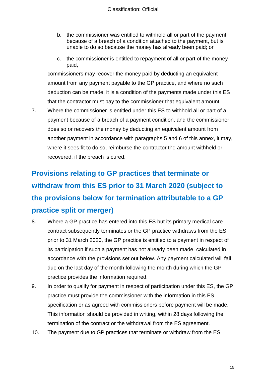- b. the commissioner was entitled to withhold all or part of the payment because of a breach of a condition attached to the payment, but is unable to do so because the money has already been paid; or
- c. the commissioner is entitled to repayment of all or part of the money paid,

commissioners may recover the money paid by deducting an equivalent amount from any payment payable to the GP practice, and where no such deduction can be made, it is a condition of the payments made under this ES that the contractor must pay to the commissioner that equivalent amount.

7. Where the commissioner is entitled under this ES to withhold all or part of a payment because of a breach of a payment condition, and the commissioner does so or recovers the money by deducting an equivalent amount from another payment in accordance with paragraphs 5 and 6 of this annex, it may, where it sees fit to do so, reimburse the contractor the amount withheld or recovered, if the breach is cured.

# **Provisions relating to GP practices that terminate or withdraw from this ES prior to 31 March 2020 (subject to the provisions below for termination attributable to a GP practice split or merger)**

- 8. Where a GP practice has entered into this ES but its primary medical care contract subsequently terminates or the GP practice withdraws from the ES prior to 31 March 2020, the GP practice is entitled to a payment in respect of its participation if such a payment has not already been made, calculated in accordance with the provisions set out below. Any payment calculated will fall due on the last day of the month following the month during which the GP practice provides the information required.
- 9. In order to qualify for payment in respect of participation under this ES, the GP practice must provide the commissioner with the information in this ES specification or as agreed with commissioners before payment will be made. This information should be provided in writing, within 28 days following the termination of the contract or the withdrawal from the ES agreement.
- 10. The payment due to GP practices that terminate or withdraw from the ES